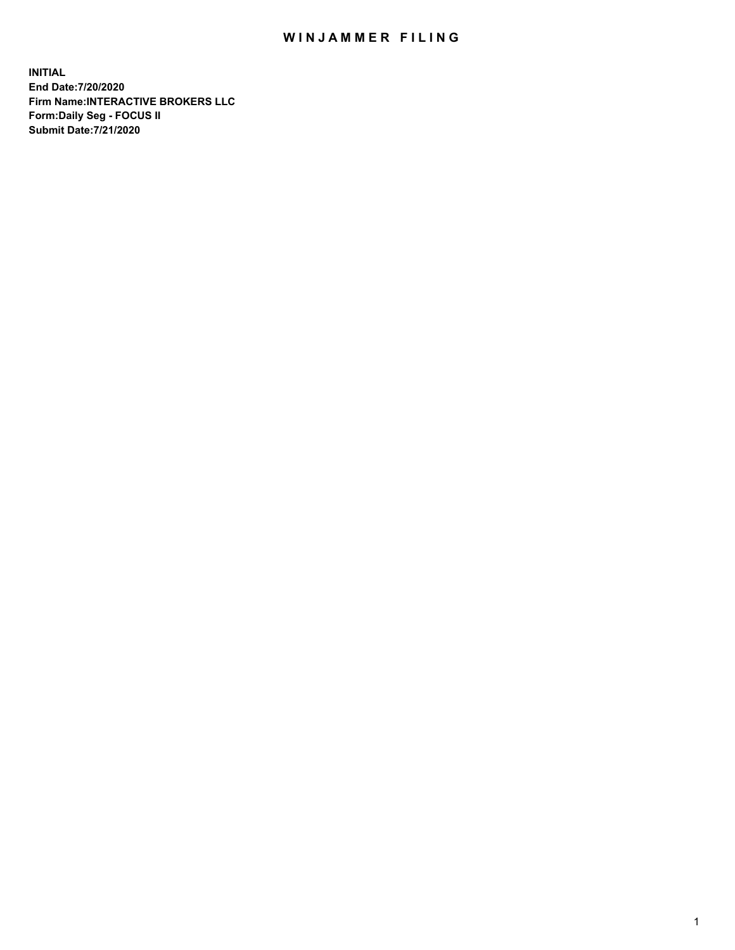## WIN JAMMER FILING

**INITIAL End Date:7/20/2020 Firm Name:INTERACTIVE BROKERS LLC Form:Daily Seg - FOCUS II Submit Date:7/21/2020**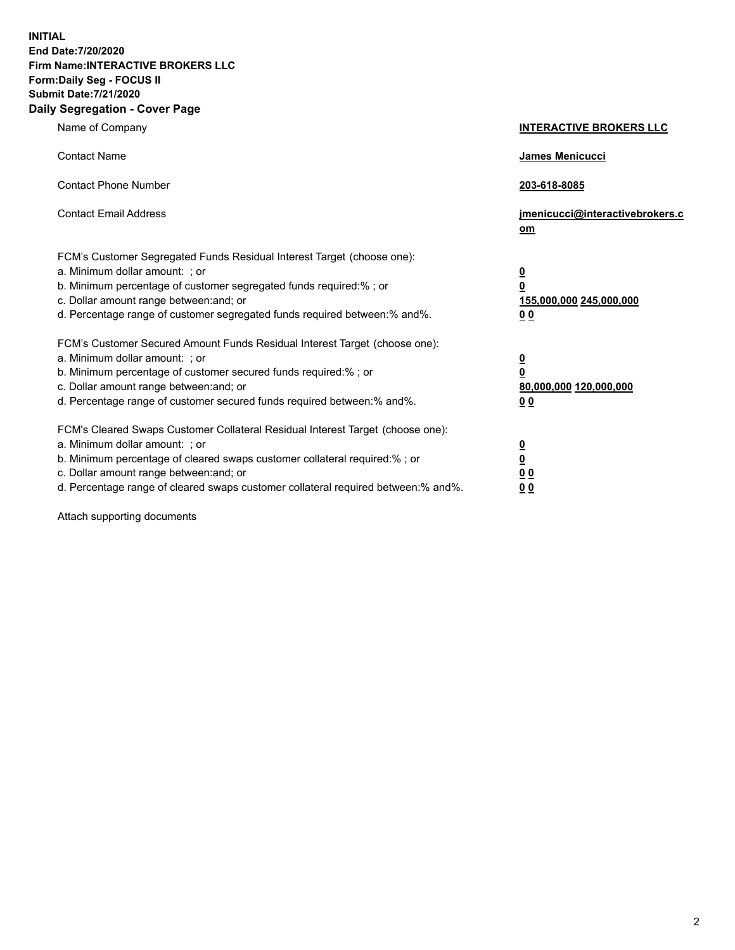**INITIAL End Date:7/20/2020 Firm Name:INTERACTIVE BROKERS LLC Form:Daily Seg - FOCUS II Submit Date:7/21/2020 Daily Segregation - Cover Page**

| Name of Company                                                                                                                                                                                                                                                                                                               | <b>INTERACTIVE BROKERS LLC</b>                                                            |
|-------------------------------------------------------------------------------------------------------------------------------------------------------------------------------------------------------------------------------------------------------------------------------------------------------------------------------|-------------------------------------------------------------------------------------------|
| <b>Contact Name</b>                                                                                                                                                                                                                                                                                                           | James Menicucci                                                                           |
| <b>Contact Phone Number</b>                                                                                                                                                                                                                                                                                                   | 203-618-8085                                                                              |
| <b>Contact Email Address</b>                                                                                                                                                                                                                                                                                                  | jmenicucci@interactivebrokers.c<br>$om$                                                   |
| FCM's Customer Segregated Funds Residual Interest Target (choose one):<br>a. Minimum dollar amount: ; or<br>b. Minimum percentage of customer segregated funds required:% ; or<br>c. Dollar amount range between: and; or<br>d. Percentage range of customer segregated funds required between: % and %.                      | $\overline{\mathbf{0}}$<br>0<br>155,000,000 245,000,000<br>0 <sub>0</sub>                 |
| FCM's Customer Secured Amount Funds Residual Interest Target (choose one):<br>a. Minimum dollar amount: ; or<br>b. Minimum percentage of customer secured funds required:%; or<br>c. Dollar amount range between: and; or<br>d. Percentage range of customer secured funds required between:% and%.                           | <u>0</u><br>$\overline{\mathbf{0}}$<br>80,000,000 120,000,000<br>00                       |
| FCM's Cleared Swaps Customer Collateral Residual Interest Target (choose one):<br>a. Minimum dollar amount: ; or<br>b. Minimum percentage of cleared swaps customer collateral required:%; or<br>c. Dollar amount range between: and; or<br>d. Percentage range of cleared swaps customer collateral required between:% and%. | <u>0</u><br>$\underline{\mathbf{0}}$<br>$\underline{0}$ $\underline{0}$<br>0 <sub>0</sub> |

Attach supporting documents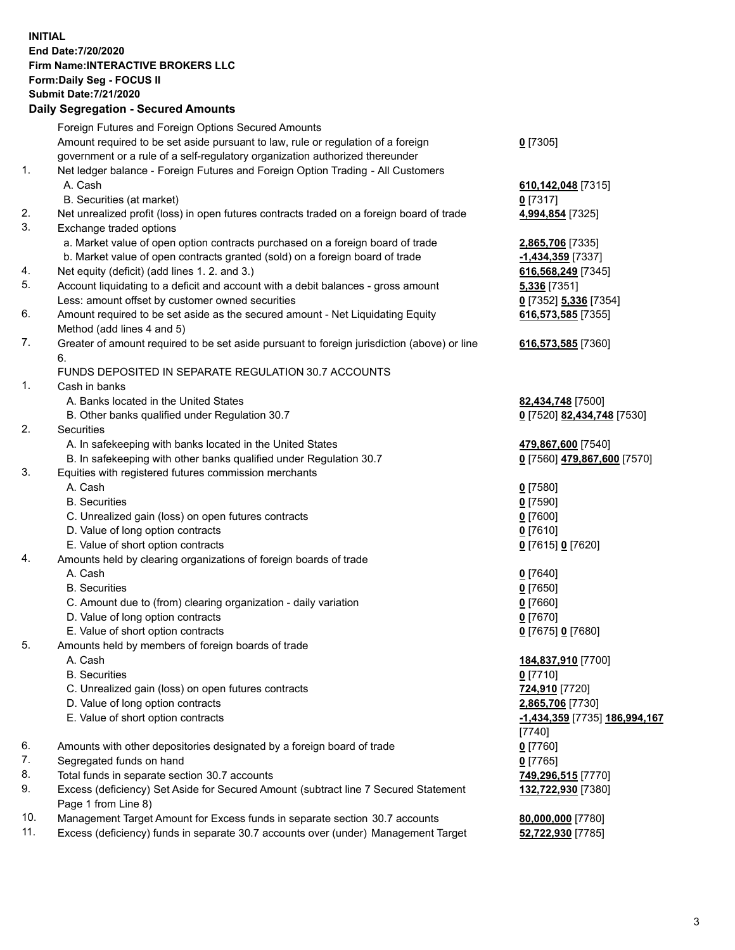**INITIAL End Date:7/20/2020 Firm Name:INTERACTIVE BROKERS LLC Form:Daily Seg - FOCUS II Submit Date:7/21/2020 Daily Segregation - Secured Amounts**

|                | Dany Ocgregation - Oceanea Anioanta                                                         |                                             |
|----------------|---------------------------------------------------------------------------------------------|---------------------------------------------|
|                | Foreign Futures and Foreign Options Secured Amounts                                         |                                             |
|                | Amount required to be set aside pursuant to law, rule or regulation of a foreign            | $0$ [7305]                                  |
|                | government or a rule of a self-regulatory organization authorized thereunder                |                                             |
| 1.             | Net ledger balance - Foreign Futures and Foreign Option Trading - All Customers             |                                             |
|                | A. Cash                                                                                     | 610, 142, 048 [7315]                        |
|                | B. Securities (at market)                                                                   | $0$ [7317]                                  |
| 2.             | Net unrealized profit (loss) in open futures contracts traded on a foreign board of trade   | 4,994,854 [7325]                            |
| 3.             | Exchange traded options                                                                     |                                             |
|                | a. Market value of open option contracts purchased on a foreign board of trade              | 2,865,706 [7335]                            |
|                | b. Market value of open contracts granted (sold) on a foreign board of trade                | -1,434,359 [7337]                           |
| 4.             | Net equity (deficit) (add lines 1. 2. and 3.)                                               | 616,568,249 [7345]                          |
| 5.             | Account liquidating to a deficit and account with a debit balances - gross amount           | <b>5,336</b> [7351]                         |
|                | Less: amount offset by customer owned securities                                            | 0 [7352] 5,336 [7354]                       |
| 6.             | Amount required to be set aside as the secured amount - Net Liquidating Equity              | 616,573,585 [7355]                          |
|                | Method (add lines 4 and 5)                                                                  |                                             |
| 7.             | Greater of amount required to be set aside pursuant to foreign jurisdiction (above) or line | 616,573,585 [7360]                          |
|                | 6.                                                                                          |                                             |
|                | FUNDS DEPOSITED IN SEPARATE REGULATION 30.7 ACCOUNTS                                        |                                             |
| $\mathbf{1}$ . | Cash in banks                                                                               |                                             |
|                | A. Banks located in the United States                                                       | 82,434,748 [7500]                           |
|                | B. Other banks qualified under Regulation 30.7                                              | 0 [7520] 82,434,748 [7530]                  |
| 2.             | Securities                                                                                  |                                             |
|                | A. In safekeeping with banks located in the United States                                   | 479,867,600 [7540]                          |
|                | B. In safekeeping with other banks qualified under Regulation 30.7                          | 0 [7560] 479,867,600 [7570]                 |
| 3.             | Equities with registered futures commission merchants                                       |                                             |
|                | A. Cash                                                                                     | $0$ [7580]                                  |
|                | <b>B.</b> Securities                                                                        | $0$ [7590]                                  |
|                | C. Unrealized gain (loss) on open futures contracts                                         | $0$ [7600]                                  |
|                | D. Value of long option contracts                                                           | $0$ [7610]                                  |
|                | E. Value of short option contracts                                                          | 0 [7615] 0 [7620]                           |
| 4.             | Amounts held by clearing organizations of foreign boards of trade                           |                                             |
|                | A. Cash                                                                                     | $0$ [7640]                                  |
|                | <b>B.</b> Securities                                                                        | $0$ [7650]                                  |
|                | C. Amount due to (from) clearing organization - daily variation                             | $0$ [7660]                                  |
|                | D. Value of long option contracts                                                           | $0$ [7670]                                  |
|                | E. Value of short option contracts                                                          | 0 [7675] 0 [7680]                           |
| 5.             | Amounts held by members of foreign boards of trade                                          |                                             |
|                | A. Cash                                                                                     | 184,837,910 [7700]                          |
|                | <b>B.</b> Securities                                                                        | $0$ [7710]                                  |
|                | C. Unrealized gain (loss) on open futures contracts                                         | 724,910 [7720]                              |
|                | D. Value of long option contracts                                                           | 2,865,706 [7730]                            |
|                | E. Value of short option contracts                                                          | <u>-1,434,359</u> [7735] <u>186,994,167</u> |
|                |                                                                                             | [7740]                                      |
| 6.             | Amounts with other depositories designated by a foreign board of trade                      | $0$ [7760]                                  |
| 7.             | Segregated funds on hand                                                                    | $0$ [7765]                                  |
| 8.             | Total funds in separate section 30.7 accounts                                               | 749,296,515 [7770]                          |
| 9.             | Excess (deficiency) Set Aside for Secured Amount (subtract line 7 Secured Statement         | 132,722,930 [7380]                          |
|                | Page 1 from Line 8)                                                                         |                                             |
| 10.            | Management Target Amount for Excess funds in separate section 30.7 accounts                 | 80,000,000 [7780]                           |
| 11.            | Excess (deficiency) funds in separate 30.7 accounts over (under) Management Target          | 52,722,930 [7785]                           |
|                |                                                                                             |                                             |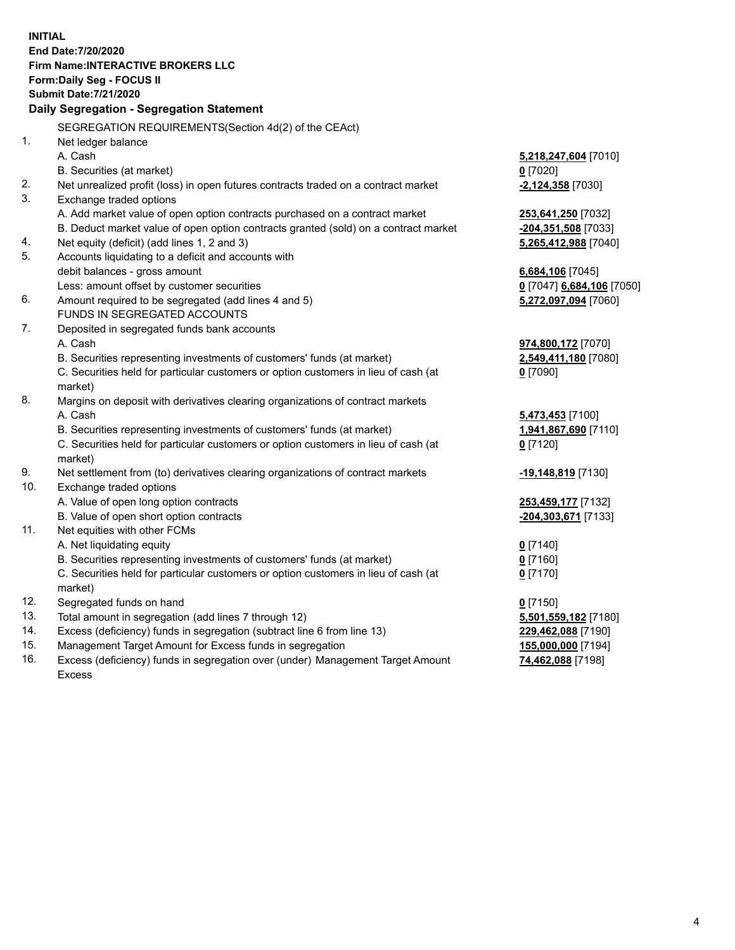**INITIAL End Date:7/20/2020 Firm Name:INTERACTIVE BROKERS LLC Form:Daily Seg - FOCUS II Submit Date:7/21/2020 Daily Segregation - Segregation Statement** SEGREGATION REQUIREMENTS(Section 4d(2) of the CEAct) 1. Net ledger balance A. Cash **5,218,247,604** [7010] B. Securities (at market) **0** [7020] 2. Net unrealized profit (loss) in open futures contracts traded on a contract market **-2,124,358** [7030] 3. Exchange traded options A. Add market value of open option contracts purchased on a contract market **253,641,250** [7032] B. Deduct market value of open option contracts granted (sold) on a contract market **-204,351,508** [7033] 4. Net equity (deficit) (add lines 1, 2 and 3) **5,265,412,988** [7040] 5. Accounts liquidating to a deficit and accounts with debit balances - gross amount **6,684,106** [7045] Less: amount offset by customer securities **0** [7047] **6,684,106** [7050] 6. Amount required to be segregated (add lines 4 and 5) **5,272,097,094** [7060] FUNDS IN SEGREGATED ACCOUNTS 7. Deposited in segregated funds bank accounts A. Cash **974,800,172** [7070] B. Securities representing investments of customers' funds (at market) **2,549,411,180** [7080] C. Securities held for particular customers or option customers in lieu of cash (at market) **0** [7090] 8. Margins on deposit with derivatives clearing organizations of contract markets A. Cash **5,473,453** [7100] B. Securities representing investments of customers' funds (at market) **1,941,867,690** [7110] C. Securities held for particular customers or option customers in lieu of cash (at market) **0** [7120] 9. Net settlement from (to) derivatives clearing organizations of contract markets **-19,148,819** [7130] 10. Exchange traded options A. Value of open long option contracts **253,459,177** [7132] B. Value of open short option contracts **-204,303,671** [7133] 11. Net equities with other FCMs A. Net liquidating equity **0** [7140] B. Securities representing investments of customers' funds (at market) **0** [7160] C. Securities held for particular customers or option customers in lieu of cash (at market) **0** [7170] 12. Segregated funds on hand **0** [7150] 13. Total amount in segregation (add lines 7 through 12) **5,501,559,182** [7180] 14. Excess (deficiency) funds in segregation (subtract line 6 from line 13) **229,462,088** [7190] 15. Management Target Amount for Excess funds in segregation **155,000,000** [7194]

16. Excess (deficiency) funds in segregation over (under) Management Target Amount Excess

**74,462,088** [7198]